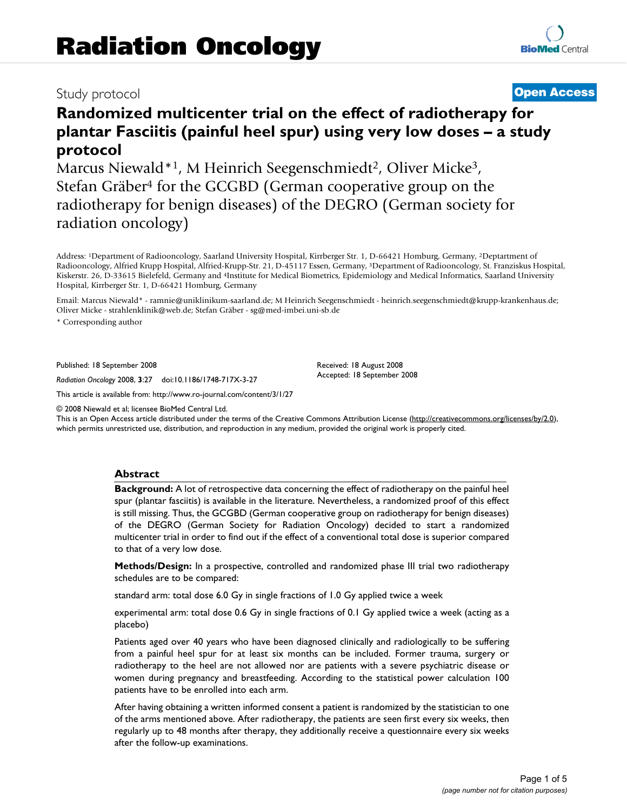# Study protocol **[Open Access](http://www.biomedcentral.com/info/about/charter/)**

# **Randomized multicenter trial on the effect of radiotherapy for plantar Fasciitis (painful heel spur) using very low doses – a study protocol**

Marcus Niewald\*1, M Heinrich Seegenschmiedt<sup>2</sup>, Oliver Micke<sup>3</sup>, Stefan Gräber4 for the GCGBD (German cooperative group on the radiotherapy for benign diseases) of the DEGRO (German society for radiation oncology)

Address: 1Department of Radiooncology, Saarland University Hospital, Kirrberger Str. 1, D-66421 Homburg, Germany, 2Deptartment of Radiooncology, Alfried Krupp Hospital, Alfried-Krupp-Str. 21, D-45117 Essen, Germany, 3Department of Radiooncology, St. Franziskus Hospital, Kiskerstr. 26, D-33615 Bielefeld, Germany and 4Institute for Medical Biometrics, Epidemiology and Medical Informatics, Saarland University Hospital, Kirrberger Str. 1, D-66421 Homburg, Germany

Email: Marcus Niewald\* - ramnie@uniklinikum-saarland.de; M Heinrich Seegenschmiedt - heinrich.seegenschmiedt@krupp-krankenhaus.de; Oliver Micke - strahlenklinik@web.de; Stefan Gräber - sg@med-imbei.uni-sb.de

\* Corresponding author

Published: 18 September 2008

*Radiation Oncology* 2008, **3**:27 doi:10.1186/1748-717X-3-27

[This article is available from: http://www.ro-journal.com/content/3/1/27](http://www.ro-journal.com/content/3/1/27)

© 2008 Niewald et al; licensee BioMed Central Ltd.

This is an Open Access article distributed under the terms of the Creative Commons Attribution License [\(http://creativecommons.org/licenses/by/2.0\)](http://creativecommons.org/licenses/by/2.0), which permits unrestricted use, distribution, and reproduction in any medium, provided the original work is properly cited.

Received: 18 August 2008 Accepted: 18 September 2008

### **Abstract**

**Background:** A lot of retrospective data concerning the effect of radiotherapy on the painful heel spur (plantar fasciitis) is available in the literature. Nevertheless, a randomized proof of this effect is still missing. Thus, the GCGBD (German cooperative group on radiotherapy for benign diseases) of the DEGRO (German Society for Radiation Oncology) decided to start a randomized multicenter trial in order to find out if the effect of a conventional total dose is superior compared to that of a very low dose.

**Methods/Design:** In a prospective, controlled and randomized phase III trial two radiotherapy schedules are to be compared:

standard arm: total dose 6.0 Gy in single fractions of 1.0 Gy applied twice a week

experimental arm: total dose 0.6 Gy in single fractions of 0.1 Gy applied twice a week (acting as a placebo)

Patients aged over 40 years who have been diagnosed clinically and radiologically to be suffering from a painful heel spur for at least six months can be included. Former trauma, surgery or radiotherapy to the heel are not allowed nor are patients with a severe psychiatric disease or women during pregnancy and breastfeeding. According to the statistical power calculation 100 patients have to be enrolled into each arm.

After having obtaining a written informed consent a patient is randomized by the statistician to one of the arms mentioned above. After radiotherapy, the patients are seen first every six weeks, then regularly up to 48 months after therapy, they additionally receive a questionnaire every six weeks after the follow-up examinations.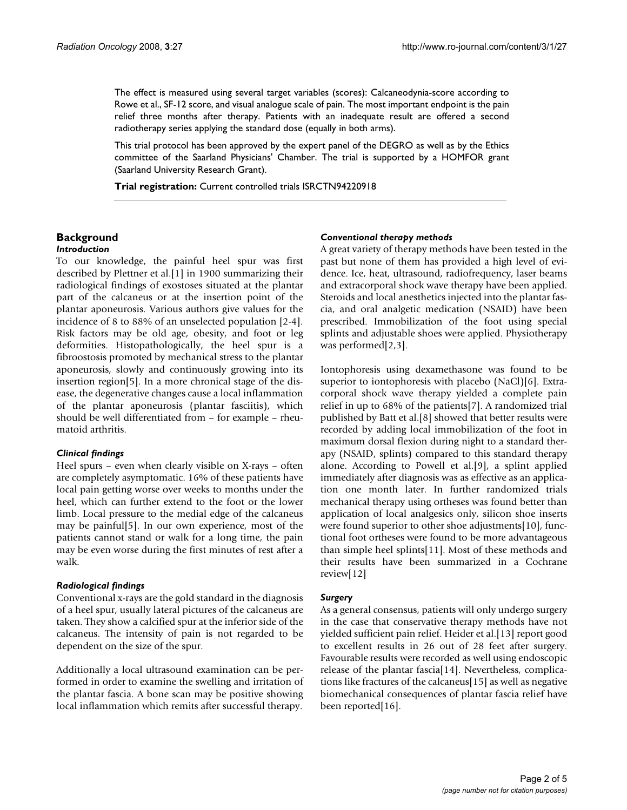The effect is measured using several target variables (scores): Calcaneodynia-score according to Rowe et al., SF-12 score, and visual analogue scale of pain. The most important endpoint is the pain relief three months after therapy. Patients with an inadequate result are offered a second radiotherapy series applying the standard dose (equally in both arms).

This trial protocol has been approved by the expert panel of the DEGRO as well as by the Ethics committee of the Saarland Physicians' Chamber. The trial is supported by a HOMFOR grant (Saarland University Research Grant).

**Trial registration:** Current controlled trials ISRCTN94220918

# **Background**

### *Introduction*

To our knowledge, the painful heel spur was first described by Plettner et al.[1] in 1900 summarizing their radiological findings of exostoses situated at the plantar part of the calcaneus or at the insertion point of the plantar aponeurosis. Various authors give values for the incidence of 8 to 88% of an unselected population [2-4]. Risk factors may be old age, obesity, and foot or leg deformities. Histopathologically, the heel spur is a fibroostosis promoted by mechanical stress to the plantar aponeurosis, slowly and continuously growing into its insertion region[5]. In a more chronical stage of the disease, the degenerative changes cause a local inflammation of the plantar aponeurosis (plantar fasciitis), which should be well differentiated from – for example – rheumatoid arthritis.

#### *Clinical findings*

Heel spurs – even when clearly visible on X-rays – often are completely asymptomatic. 16% of these patients have local pain getting worse over weeks to months under the heel, which can further extend to the foot or the lower limb. Local pressure to the medial edge of the calcaneus may be painful[5]. In our own experience, most of the patients cannot stand or walk for a long time, the pain may be even worse during the first minutes of rest after a walk.

#### *Radiological findings*

Conventional x-rays are the gold standard in the diagnosis of a heel spur, usually lateral pictures of the calcaneus are taken. They show a calcified spur at the inferior side of the calcaneus. The intensity of pain is not regarded to be dependent on the size of the spur.

Additionally a local ultrasound examination can be performed in order to examine the swelling and irritation of the plantar fascia. A bone scan may be positive showing local inflammation which remits after successful therapy.

#### *Conventional therapy methods*

A great variety of therapy methods have been tested in the past but none of them has provided a high level of evidence. Ice, heat, ultrasound, radiofrequency, laser beams and extracorporal shock wave therapy have been applied. Steroids and local anesthetics injected into the plantar fascia, and oral analgetic medication (NSAID) have been prescribed. Immobilization of the foot using special splints and adjustable shoes were applied. Physiotherapy was performed[2,3].

Iontophoresis using dexamethasone was found to be superior to iontophoresis with placebo (NaCl)[6]. Extracorporal shock wave therapy yielded a complete pain relief in up to 68% of the patients[7]. A randomized trial published by Batt et al.[8] showed that better results were recorded by adding local immobilization of the foot in maximum dorsal flexion during night to a standard therapy (NSAID, splints) compared to this standard therapy alone. According to Powell et al.[9], a splint applied immediately after diagnosis was as effective as an application one month later. In further randomized trials mechanical therapy using ortheses was found better than application of local analgesics only, silicon shoe inserts were found superior to other shoe adjustments[10], functional foot ortheses were found to be more advantageous than simple heel splints[11]. Most of these methods and their results have been summarized in a Cochrane review[12]

#### *Surgery*

As a general consensus, patients will only undergo surgery in the case that conservative therapy methods have not yielded sufficient pain relief. Heider et al.[13] report good to excellent results in 26 out of 28 feet after surgery. Favourable results were recorded as well using endoscopic release of the plantar fascia[14]. Nevertheless, complications like fractures of the calcaneus[15] as well as negative biomechanical consequences of plantar fascia relief have been reported[16].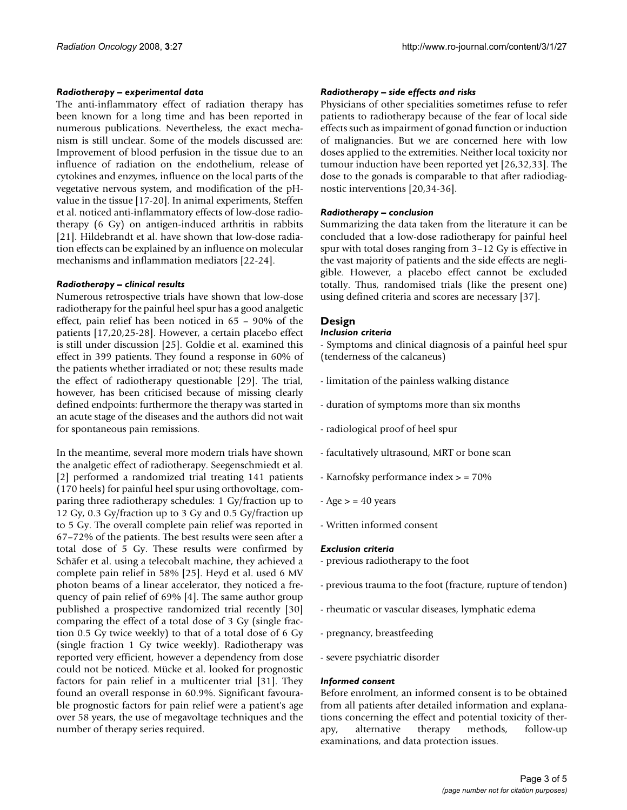#### *Radiotherapy – experimental data*

The anti-inflammatory effect of radiation therapy has been known for a long time and has been reported in numerous publications. Nevertheless, the exact mechanism is still unclear. Some of the models discussed are: Improvement of blood perfusion in the tissue due to an influence of radiation on the endothelium, release of cytokines and enzymes, influence on the local parts of the vegetative nervous system, and modification of the pHvalue in the tissue [17-20]. In animal experiments, Steffen et al. noticed anti-inflammatory effects of low-dose radiotherapy (6 Gy) on antigen-induced arthritis in rabbits [21]. Hildebrandt et al. have shown that low-dose radiation effects can be explained by an influence on molecular mechanisms and inflammation mediators [22-24].

### *Radiotherapy – clinical results*

Numerous retrospective trials have shown that low-dose radiotherapy for the painful heel spur has a good analgetic effect, pain relief has been noticed in 65 – 90% of the patients [17,20,25-28]. However, a certain placebo effect is still under discussion [25]. Goldie et al. examined this effect in 399 patients. They found a response in 60% of the patients whether irradiated or not; these results made the effect of radiotherapy questionable [29]. The trial, however, has been criticised because of missing clearly defined endpoints: furthermore the therapy was started in an acute stage of the diseases and the authors did not wait for spontaneous pain remissions.

In the meantime, several more modern trials have shown the analgetic effect of radiotherapy. Seegenschmiedt et al. [2] performed a randomized trial treating 141 patients (170 heels) for painful heel spur using orthovoltage, comparing three radiotherapy schedules: 1 Gy/fraction up to 12 Gy, 0.3 Gy/fraction up to 3 Gy and 0.5 Gy/fraction up to 5 Gy. The overall complete pain relief was reported in 67–72% of the patients. The best results were seen after a total dose of 5 Gy. These results were confirmed by Schäfer et al. using a telecobalt machine, they achieved a complete pain relief in 58% [25]. Heyd et al. used 6 MV photon beams of a linear accelerator, they noticed a frequency of pain relief of 69% [4]. The same author group published a prospective randomized trial recently [30] comparing the effect of a total dose of 3 Gy (single fraction 0.5 Gy twice weekly) to that of a total dose of 6 Gy (single fraction 1 Gy twice weekly). Radiotherapy was reported very efficient, however a dependency from dose could not be noticed. Mücke et al. looked for prognostic factors for pain relief in a multicenter trial [31]. They found an overall response in 60.9%. Significant favourable prognostic factors for pain relief were a patient's age over 58 years, the use of megavoltage techniques and the number of therapy series required.

#### *Radiotherapy – side effects and risks*

Physicians of other specialities sometimes refuse to refer patients to radiotherapy because of the fear of local side effects such as impairment of gonad function or induction of malignancies. But we are concerned here with low doses applied to the extremities. Neither local toxicity nor tumour induction have been reported yet [26,32,33]. The dose to the gonads is comparable to that after radiodiagnostic interventions [20,34-36].

#### *Radiotherapy – conclusion*

Summarizing the data taken from the literature it can be concluded that a low-dose radiotherapy for painful heel spur with total doses ranging from 3–12 Gy is effective in the vast majority of patients and the side effects are negligible. However, a placebo effect cannot be excluded totally. Thus, randomised trials (like the present one) using defined criteria and scores are necessary [37].

# **Design**

#### *Inclusion criteria*

- Symptoms and clinical diagnosis of a painful heel spur (tenderness of the calcaneus)

- limitation of the painless walking distance
- duration of symptoms more than six months
- radiological proof of heel spur
- facultatively ultrasound, MRT or bone scan
- Karnofsky performance index > = 70%
- $-Age$  > = 40 years
- Written informed consent

#### *Exclusion criteria*

- previous radiotherapy to the foot
- previous trauma to the foot (fracture, rupture of tendon)
- rheumatic or vascular diseases, lymphatic edema
- pregnancy, breastfeeding
- severe psychiatric disorder

### *Informed consent*

Before enrolment, an informed consent is to be obtained from all patients after detailed information and explanations concerning the effect and potential toxicity of therapy, alternative therapy methods, follow-up examinations, and data protection issues.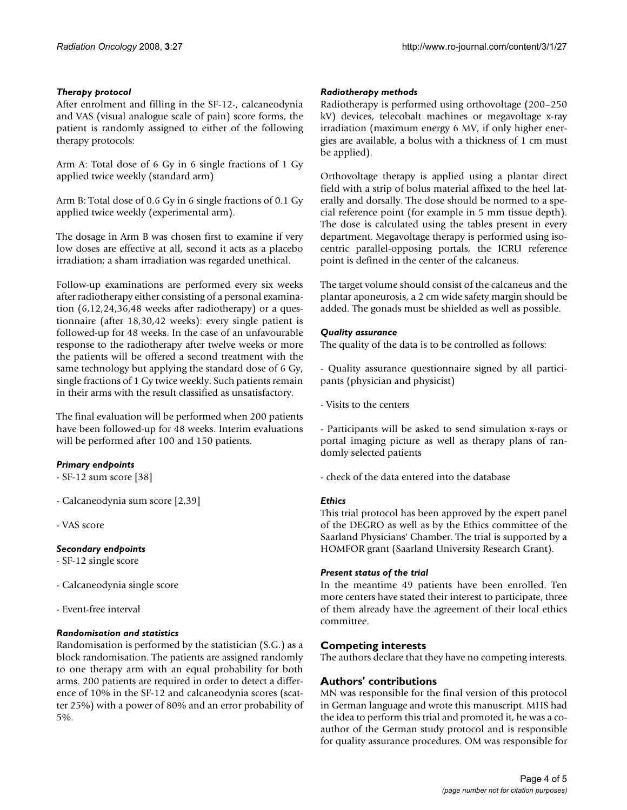# *Therapy protocol*

After enrolment and filling in the SF-12-, calcaneodynia and VAS (visual analogue scale of pain) score forms, the patient is randomly assigned to either of the following therapy protocols:

Arm A: Total dose of 6 Gy in 6 single fractions of 1 Gy applied twice weekly (standard arm)

Arm B: Total dose of 0.6 Gy in 6 single fractions of 0.1 Gy applied twice weekly (experimental arm).

The dosage in Arm B was chosen first to examine if very low doses are effective at all, second it acts as a placebo irradiation; a sham irradiation was regarded unethical.

Follow-up examinations are performed every six weeks after radiotherapy either consisting of a personal examination (6,12,24,36,48 weeks after radiotherapy) or a questionnaire (after 18,30,42 weeks): every single patient is followed-up for 48 weeks. In the case of an unfavourable response to the radiotherapy after twelve weeks or more the patients will be offered a second treatment with the same technology but applying the standard dose of 6 Gy, single fractions of 1 Gy twice weekly. Such patients remain in their arms with the result classified as unsatisfactory.

The final evaluation will be performed when 200 patients have been followed-up for 48 weeks. Interim evaluations will be performed after 100 and 150 patients.

# *Primary endpoints*

- SF-12 sum score [38]

- Calcaneodynia sum score [2,39]

- VAS score

# *Secondary endpoints*

- SF-12 single score

- Calcaneodynia single score

- Event-free interval

# *Randomisation and statistics*

Randomisation is performed by the statistician (S.G.) as a block randomisation. The patients are assigned randomly to one therapy arm with an equal probability for both arms. 200 patients are required in order to detect a difference of 10% in the SF-12 and calcaneodynia scores (scatter 25%) with a power of 80% and an error probability of 5%.

# *Radiotherapy methods*

Radiotherapy is performed using orthovoltage (200–250 kV) devices, telecobalt machines or megavoltage x-ray irradiation (maximum energy 6 MV, if only higher energies are available, a bolus with a thickness of 1 cm must be applied).

Orthovoltage therapy is applied using a plantar direct field with a strip of bolus material affixed to the heel laterally and dorsally. The dose should be normed to a special reference point (for example in 5 mm tissue depth). The dose is calculated using the tables present in every department. Megavoltage therapy is performed using isocentric parallel-opposing portals, the ICRU reference point is defined in the center of the calcaneus.

The target volume should consist of the calcaneus and the plantar aponeurosis, a 2 cm wide safety margin should be added. The gonads must be shielded as well as possible.

## *Quality assurance*

The quality of the data is to be controlled as follows:

- Quality assurance questionnaire signed by all participants (physician and physicist)

- Visits to the centers

- Participants will be asked to send simulation x-rays or portal imaging picture as well as therapy plans of randomly selected patients

- check of the data entered into the database

# *Ethics*

This trial protocol has been approved by the expert panel of the DEGRO as well as by the Ethics committee of the Saarland Physicians' Chamber. The trial is supported by a HOMFOR grant (Saarland University Research Grant).

# *Present status of the trial*

In the meantime 49 patients have been enrolled. Ten more centers have stated their interest to participate, three of them already have the agreement of their local ethics committee.

# **Competing interests**

The authors declare that they have no competing interests.

# **Authors' contributions**

MN was responsible for the final version of this protocol in German language and wrote this manuscript. MHS had the idea to perform this trial and promoted it, he was a coauthor of the German study protocol and is responsible for quality assurance procedures. OM was responsible for